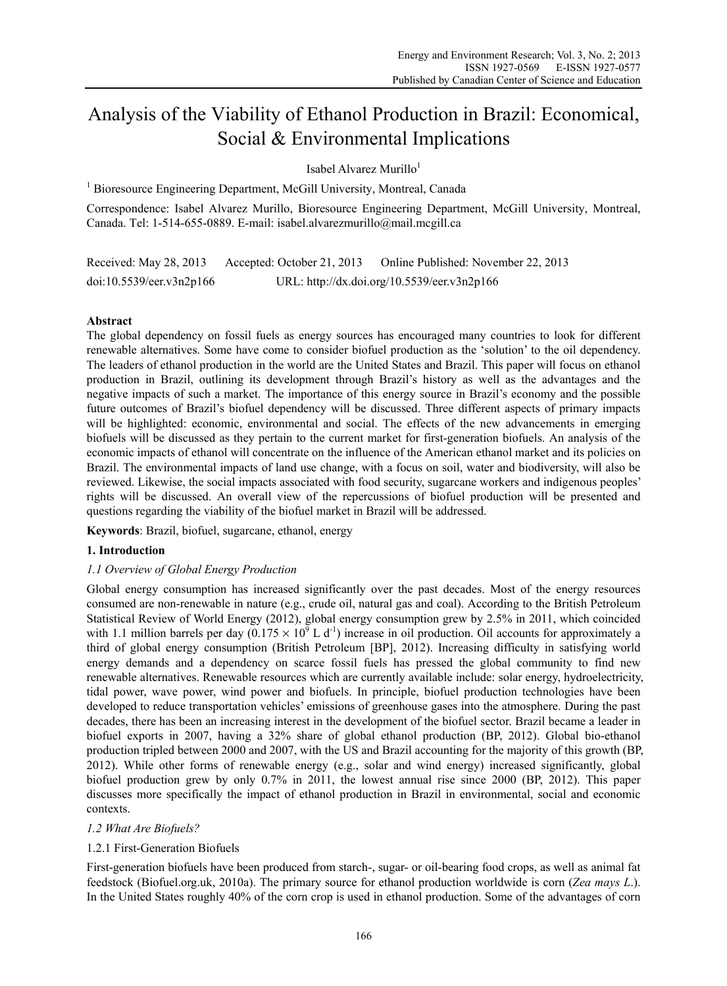# Analysis of the Viability of Ethanol Production in Brazil: Economical, Social & Environmental Implications

Isabel Alvarez Murillo $<sup>1</sup>$ </sup>

<sup>1</sup> Bioresource Engineering Department, McGill University, Montreal, Canada

Correspondence: Isabel Alvarez Murillo, Bioresource Engineering Department, McGill University, Montreal, Canada. Tel: 1-514-655-0889. E-mail: isabel.alvarezmurillo@mail.mcgill.ca

Received: May 28, 2013 Accepted: October 21, 2013 Online Published: November 22, 2013 doi:10.5539/eer.v3n2p166 URL: http://dx.doi.org/10.5539/eer.v3n2p166

## **Abstract**

The global dependency on fossil fuels as energy sources has encouraged many countries to look for different renewable alternatives. Some have come to consider biofuel production as the 'solution' to the oil dependency. The leaders of ethanol production in the world are the United States and Brazil. This paper will focus on ethanol production in Brazil, outlining its development through Brazil's history as well as the advantages and the negative impacts of such a market. The importance of this energy source in Brazil's economy and the possible future outcomes of Brazil's biofuel dependency will be discussed. Three different aspects of primary impacts will be highlighted: economic, environmental and social. The effects of the new advancements in emerging biofuels will be discussed as they pertain to the current market for first-generation biofuels. An analysis of the economic impacts of ethanol will concentrate on the influence of the American ethanol market and its policies on Brazil. The environmental impacts of land use change, with a focus on soil, water and biodiversity, will also be reviewed. Likewise, the social impacts associated with food security, sugarcane workers and indigenous peoples' rights will be discussed. An overall view of the repercussions of biofuel production will be presented and questions regarding the viability of the biofuel market in Brazil will be addressed.

**Keywords**: Brazil, biofuel, sugarcane, ethanol, energy

# **1. Introduction**

## *1.1 Overview of Global Energy Production*

Global energy consumption has increased significantly over the past decades. Most of the energy resources consumed are non-renewable in nature (e.g., crude oil, natural gas and coal). According to the British Petroleum Statistical Review of World Energy (2012), global energy consumption grew by 2.5% in 2011, which coincided with 1.1 million barrels per day  $(0.175 \times 10^5 \text{ L d}^{-1})$  increase in oil production. Oil accounts for approximately a third of global energy consumption (British Petroleum [BP], 2012). Increasing difficulty in satisfying world energy demands and a dependency on scarce fossil fuels has pressed the global community to find new renewable alternatives. Renewable resources which are currently available include: solar energy, hydroelectricity, tidal power, wave power, wind power and biofuels. In principle, biofuel production technologies have been developed to reduce transportation vehicles' emissions of greenhouse gases into the atmosphere. During the past decades, there has been an increasing interest in the development of the biofuel sector. Brazil became a leader in biofuel exports in 2007, having a 32% share of global ethanol production (BP, 2012). Global bio-ethanol production tripled between 2000 and 2007, with the US and Brazil accounting for the majority of this growth (BP, 2012). While other forms of renewable energy (e.g., solar and wind energy) increased significantly, global biofuel production grew by only 0.7% in 2011, the lowest annual rise since 2000 (BP, 2012). This paper discusses more specifically the impact of ethanol production in Brazil in environmental, social and economic contexts.

## *1.2 What Are Biofuels?*

## 1.2.1 First-Generation Biofuels

First-generation biofuels have been produced from starch-, sugar- or oil-bearing food crops, as well as animal fat feedstock (Biofuel.org.uk, 2010a). The primary source for ethanol production worldwide is corn (*Zea mays L*.). In the United States roughly 40% of the corn crop is used in ethanol production. Some of the advantages of corn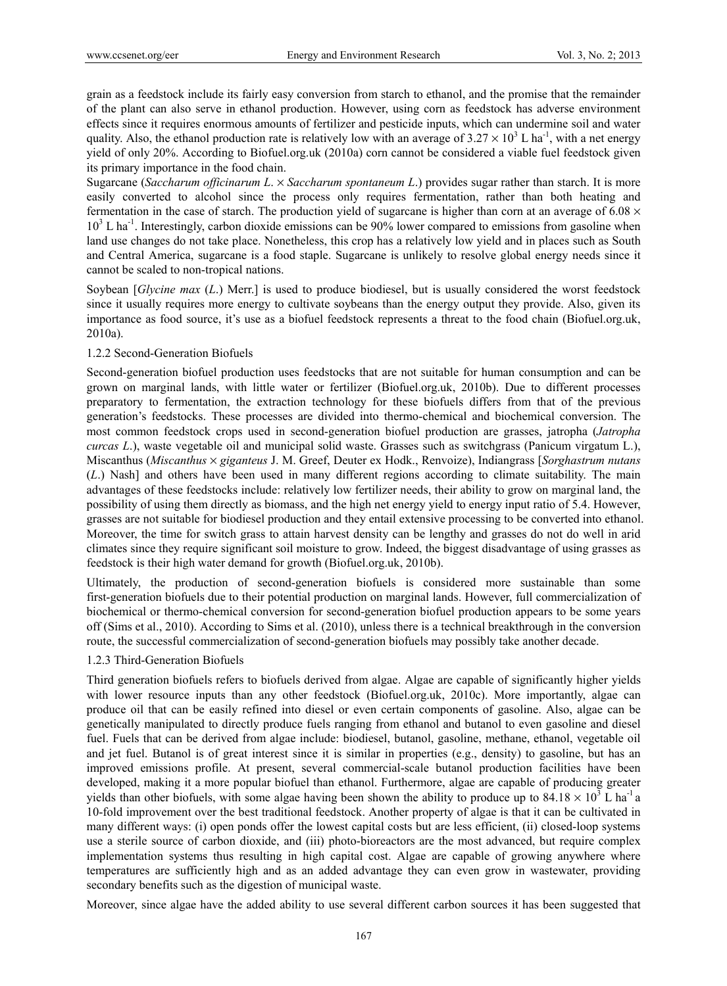grain as a feedstock include its fairly easy conversion from starch to ethanol, and the promise that the remainder of the plant can also serve in ethanol production. However, using corn as feedstock has adverse environment effects since it requires enormous amounts of fertilizer and pesticide inputs, which can undermine soil and water quality. Also, the ethanol production rate is relatively low with an average of  $3.27 \times 10^3$  L ha<sup>-1</sup>, with a net energy yield of only 20%. According to Biofuel.org.uk (2010a) corn cannot be considered a viable fuel feedstock given its primary importance in the food chain.

Sugarcane (*Saccharum officinarum L*. *Saccharum spontaneum L*.) provides sugar rather than starch. It is more easily converted to alcohol since the process only requires fermentation, rather than both heating and fermentation in the case of starch. The production yield of sugarcane is higher than corn at an average of  $6.08 \times$ 10<sup>3</sup> L ha<sup>-1</sup>. Interestingly, carbon dioxide emissions can be 90% lower compared to emissions from gasoline when land use changes do not take place. Nonetheless, this crop has a relatively low yield and in places such as South and Central America, sugarcane is a food staple. Sugarcane is unlikely to resolve global energy needs since it cannot be scaled to non-tropical nations.

Soybean [*Glycine max* (*L*.) Merr.] is used to produce biodiesel, but is usually considered the worst feedstock since it usually requires more energy to cultivate soybeans than the energy output they provide. Also, given its importance as food source, it's use as a biofuel feedstock represents a threat to the food chain (Biofuel.org.uk, 2010a).

## 1.2.2 Second-Generation Biofuels

Second-generation biofuel production uses feedstocks that are not suitable for human consumption and can be grown on marginal lands, with little water or fertilizer (Biofuel.org.uk, 2010b). Due to different processes preparatory to fermentation, the extraction technology for these biofuels differs from that of the previous generation's feedstocks. These processes are divided into thermo-chemical and biochemical conversion. The most common feedstock crops used in second-generation biofuel production are grasses, jatropha (*Jatropha curcas L*.), waste vegetable oil and municipal solid waste. Grasses such as switchgrass (Panicum virgatum L.), Miscanthus (*Miscanthus giganteus* J. M. Greef, Deuter ex Hodk., Renvoize), Indiangrass [*Sorghastrum nutans* (*L*.) Nash] and others have been used in many different regions according to climate suitability. The main advantages of these feedstocks include: relatively low fertilizer needs, their ability to grow on marginal land, the possibility of using them directly as biomass, and the high net energy yield to energy input ratio of 5.4. However, grasses are not suitable for biodiesel production and they entail extensive processing to be converted into ethanol. Moreover, the time for switch grass to attain harvest density can be lengthy and grasses do not do well in arid climates since they require significant soil moisture to grow. Indeed, the biggest disadvantage of using grasses as feedstock is their high water demand for growth (Biofuel.org.uk, 2010b).

Ultimately, the production of second-generation biofuels is considered more sustainable than some first-generation biofuels due to their potential production on marginal lands. However, full commercialization of biochemical or thermo-chemical conversion for second-generation biofuel production appears to be some years off (Sims et al., 2010). According to Sims et al. (2010), unless there is a technical breakthrough in the conversion route, the successful commercialization of second-generation biofuels may possibly take another decade.

## 1.2.3 Third-Generation Biofuels

Third generation biofuels refers to biofuels derived from algae. Algae are capable of significantly higher yields with lower resource inputs than any other feedstock (Biofuel.org.uk, 2010c). More importantly, algae can produce oil that can be easily refined into diesel or even certain components of gasoline. Also, algae can be genetically manipulated to directly produce fuels ranging from ethanol and butanol to even gasoline and diesel fuel. Fuels that can be derived from algae include: biodiesel, butanol, gasoline, methane, ethanol, vegetable oil and jet fuel. Butanol is of great interest since it is similar in properties (e.g., density) to gasoline, but has an improved emissions profile. At present, several commercial-scale butanol production facilities have been developed, making it a more popular biofuel than ethanol. Furthermore, algae are capable of producing greater yields than other biofuels, with some algae having been shown the ability to produce up to  $84.18 \times 10^3$  L ha<sup>-1</sup> a 10-fold improvement over the best traditional feedstock. Another property of algae is that it can be cultivated in many different ways: (i) open ponds offer the lowest capital costs but are less efficient, (ii) closed-loop systems use a sterile source of carbon dioxide, and (iii) photo-bioreactors are the most advanced, but require complex implementation systems thus resulting in high capital cost. Algae are capable of growing anywhere where temperatures are sufficiently high and as an added advantage they can even grow in wastewater, providing secondary benefits such as the digestion of municipal waste.

Moreover, since algae have the added ability to use several different carbon sources it has been suggested that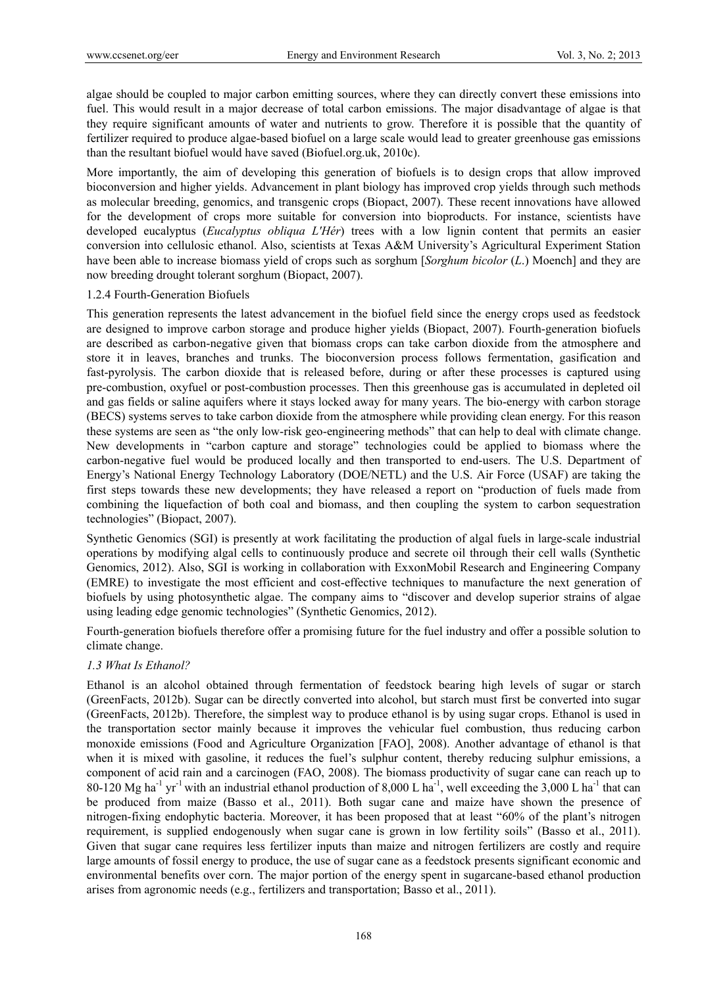algae should be coupled to major carbon emitting sources, where they can directly convert these emissions into fuel. This would result in a major decrease of total carbon emissions. The major disadvantage of algae is that they require significant amounts of water and nutrients to grow. Therefore it is possible that the quantity of fertilizer required to produce algae-based biofuel on a large scale would lead to greater greenhouse gas emissions than the resultant biofuel would have saved (Biofuel.org.uk, 2010c).

More importantly, the aim of developing this generation of biofuels is to design crops that allow improved bioconversion and higher yields. Advancement in plant biology has improved crop yields through such methods as molecular breeding, genomics, and transgenic crops (Biopact, 2007). These recent innovations have allowed for the development of crops more suitable for conversion into bioproducts. For instance, scientists have developed eucalyptus (*Eucalyptus obliqua L'Hér*) trees with a low lignin content that permits an easier conversion into cellulosic ethanol. Also, scientists at Texas A&M University's Agricultural Experiment Station have been able to increase biomass yield of crops such as sorghum [*Sorghum bicolor* (*L*.) Moench] and they are now breeding drought tolerant sorghum (Biopact, 2007).

#### 1.2.4 Fourth-Generation Biofuels

This generation represents the latest advancement in the biofuel field since the energy crops used as feedstock are designed to improve carbon storage and produce higher yields (Biopact, 2007). Fourth-generation biofuels are described as carbon-negative given that biomass crops can take carbon dioxide from the atmosphere and store it in leaves, branches and trunks. The bioconversion process follows fermentation, gasification and fast-pyrolysis. The carbon dioxide that is released before, during or after these processes is captured using pre-combustion, oxyfuel or post-combustion processes. Then this greenhouse gas is accumulated in depleted oil and gas fields or saline aquifers where it stays locked away for many years. The bio-energy with carbon storage (BECS) systems serves to take carbon dioxide from the atmosphere while providing clean energy. For this reason these systems are seen as "the only low-risk geo-engineering methods" that can help to deal with climate change. New developments in "carbon capture and storage" technologies could be applied to biomass where the carbon-negative fuel would be produced locally and then transported to end-users. The U.S. Department of Energy's National Energy Technology Laboratory (DOE/NETL) and the U.S. Air Force (USAF) are taking the first steps towards these new developments; they have released a report on "production of fuels made from combining the liquefaction of both coal and biomass, and then coupling the system to carbon sequestration technologies" (Biopact, 2007).

Synthetic Genomics (SGI) is presently at work facilitating the production of algal fuels in large-scale industrial operations by modifying algal cells to continuously produce and secrete oil through their cell walls (Synthetic Genomics, 2012). Also, SGI is working in collaboration with ExxonMobil Research and Engineering Company (EMRE) to investigate the most efficient and cost-effective techniques to manufacture the next generation of biofuels by using photosynthetic algae. The company aims to "discover and develop superior strains of algae using leading edge genomic technologies" (Synthetic Genomics, 2012).

Fourth-generation biofuels therefore offer a promising future for the fuel industry and offer a possible solution to climate change.

## *1.3 What Is Ethanol?*

Ethanol is an alcohol obtained through fermentation of feedstock bearing high levels of sugar or starch (GreenFacts, 2012b). Sugar can be directly converted into alcohol, but starch must first be converted into sugar (GreenFacts, 2012b). Therefore, the simplest way to produce ethanol is by using sugar crops. Ethanol is used in the transportation sector mainly because it improves the vehicular fuel combustion, thus reducing carbon monoxide emissions (Food and Agriculture Organization [FAO], 2008). Another advantage of ethanol is that when it is mixed with gasoline, it reduces the fuel's sulphur content, thereby reducing sulphur emissions, a component of acid rain and a carcinogen (FAO, 2008). The biomass productivity of sugar cane can reach up to 80-120 Mg ha<sup>-1</sup> yr<sup>-1</sup> with an industrial ethanol production of 8,000 L ha<sup>-1</sup>, well exceeding the 3,000 L ha<sup>-1</sup> that can be produced from maize (Basso et al., 2011). Both sugar cane and maize have shown the presence of nitrogen-fixing endophytic bacteria. Moreover, it has been proposed that at least "60% of the plant's nitrogen requirement, is supplied endogenously when sugar cane is grown in low fertility soils" (Basso et al., 2011). Given that sugar cane requires less fertilizer inputs than maize and nitrogen fertilizers are costly and require large amounts of fossil energy to produce, the use of sugar cane as a feedstock presents significant economic and environmental benefits over corn. The major portion of the energy spent in sugarcane-based ethanol production arises from agronomic needs (e.g., fertilizers and transportation; Basso et al., 2011).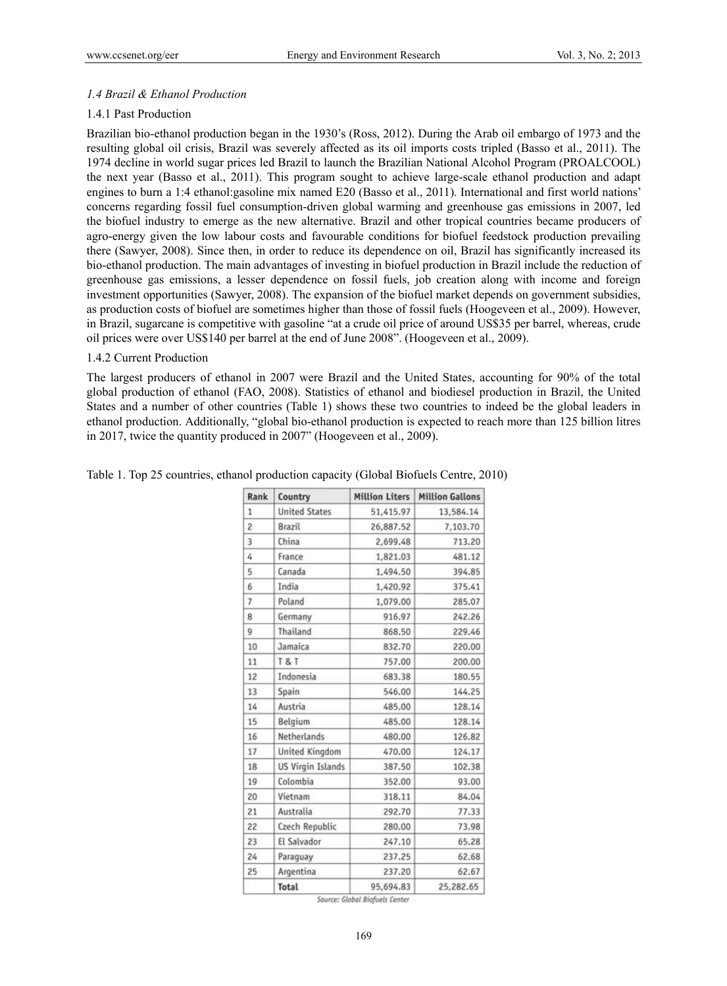## *1.4 Brazil & Ethanol Production*

#### 1.4.1 Past Production

Brazilian bio-ethanol production began in the 1930's (Ross, 2012). During the Arab oil embargo of 1973 and the resulting global oil crisis, Brazil was severely affected as its oil imports costs tripled (Basso et al., 2011). The 1974 decline in world sugar prices led Brazil to launch the Brazilian National Alcohol Program (PROALCOOL) the next year (Basso et al., 2011). This program sought to achieve large-scale ethanol production and adapt engines to burn a 1:4 ethanol:gasoline mix named E20 (Basso et al., 2011). International and first world nations' concerns regarding fossil fuel consumption-driven global warming and greenhouse gas emissions in 2007, led the biofuel industry to emerge as the new alternative. Brazil and other tropical countries became producers of agro-energy given the low labour costs and favourable conditions for biofuel feedstock production prevailing there (Sawyer, 2008). Since then, in order to reduce its dependence on oil, Brazil has significantly increased its bio-ethanol production. The main advantages of investing in biofuel production in Brazil include the reduction of greenhouse gas emissions, a lesser dependence on fossil fuels, job creation along with income and foreign investment opportunities (Sawyer, 2008). The expansion of the biofuel market depends on government subsidies, as production costs of biofuel are sometimes higher than those of fossil fuels (Hoogeveen et al., 2009). However, in Brazil, sugarcane is competitive with gasoline "at a crude oil price of around US\$35 per barrel, whereas, crude oil prices were over US\$140 per barrel at the end of June 2008". (Hoogeveen et al., 2009).

#### 1.4.2 Current Production

The largest producers of ethanol in 2007 were Brazil and the United States, accounting for 90% of the total global production of ethanol (FAO, 2008). Statistics of ethanol and biodiesel production in Brazil, the United States and a number of other countries (Table 1) shows these two countries to indeed be the global leaders in ethanol production. Additionally, "global bio-ethanol production is expected to reach more than 125 billion litres in 2017, twice the quantity produced in 2007" (Hoogeveen et al., 2009).

#### Table 1. Top 25 countries, ethanol production capacity (Global Biofuels Centre, 2010)

| Rank           | Country                  | <b>Million Liters</b> | <b>Million Gallons</b><br>13,584.14 |  |  |
|----------------|--------------------------|-----------------------|-------------------------------------|--|--|
| $\mathbf{1}$   | <b>United States</b>     | 51,415.97             |                                     |  |  |
| $\overline{c}$ | Brazil                   | 26,887.52             | 7,103.70                            |  |  |
| 3              | China                    | 2,699.48              | 713.20                              |  |  |
| 4              | France                   | 1,821.03              | 481.12                              |  |  |
| 5              | Canada                   | 1,494.50              | 394.85                              |  |  |
| 6              | India                    | 1,420.92              | 375.41                              |  |  |
| 7              | Poland                   | 1,079.00              | 285.07                              |  |  |
| 8              | Germany                  | 916.97                | 242.26                              |  |  |
| 9              | Thailand                 | 868.50                | 229.46                              |  |  |
| 10             | Jamaica                  | 832.70                | 220.00                              |  |  |
| 11             | <b>T&amp;T</b>           | 757.00                | 200.00                              |  |  |
| 12             | Indonesia                | 683.38                | 180.55                              |  |  |
| 13             | Spain                    | 546.00                | 144.25                              |  |  |
| 14             | Austria                  | 485.00                | 128.14                              |  |  |
| 15             | Belgium                  | 485.00                | 128.14                              |  |  |
| 16             | <b>Netherlands</b>       | 480.00                | 126.82                              |  |  |
| 17             | United Kingdom           | 470.00                | 124.17                              |  |  |
| 18             | <b>US Virgin Islands</b> | 387.50                | 102.38                              |  |  |
| 19             | Colombia                 | 352.00                | 93.00                               |  |  |
| 20             | Vietnam                  | 318.11                | 84.04                               |  |  |
| 21             | Australia                | 292.70                | 77.33                               |  |  |
| 22             | Czech Republic           | 280.00                | 73.98                               |  |  |
| 23             | El Salvador              | 247.10                | 65.28                               |  |  |
| 24             | Paraguay                 | 237.25                | 62.68                               |  |  |
| 25             | Argentina                | 237.20                | 62.67                               |  |  |
|                | <b>Total</b>             | 95,694.83             | 25,282.65                           |  |  |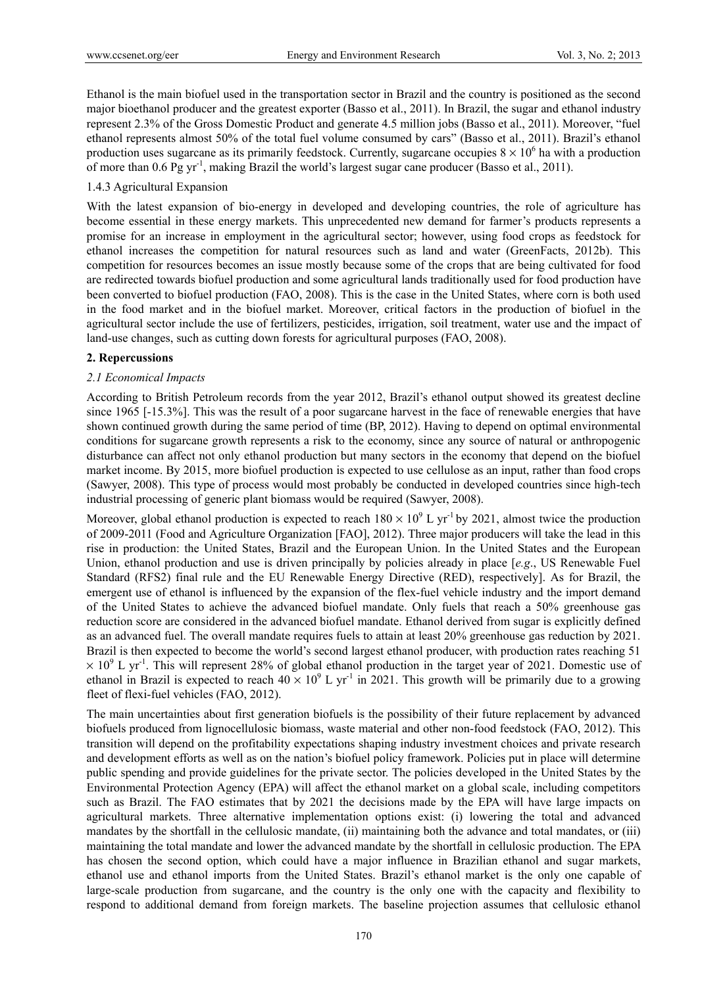Ethanol is the main biofuel used in the transportation sector in Brazil and the country is positioned as the second major bioethanol producer and the greatest exporter (Basso et al., 2011). In Brazil, the sugar and ethanol industry represent 2.3% of the Gross Domestic Product and generate 4.5 million jobs (Basso et al., 2011). Moreover, "fuel ethanol represents almost 50% of the total fuel volume consumed by cars" (Basso et al., 2011). Brazil's ethanol production uses sugarcane as its primarily feedstock. Currently, sugarcane occupies  $8 \times 10^6$  ha with a production of more than 0.6 Pg yr<sup>-1</sup>, making Brazil the world's largest sugar cane producer (Basso et al., 2011).

## 1.4.3 Agricultural Expansion

With the latest expansion of bio-energy in developed and developing countries, the role of agriculture has become essential in these energy markets. This unprecedented new demand for farmer's products represents a promise for an increase in employment in the agricultural sector; however, using food crops as feedstock for ethanol increases the competition for natural resources such as land and water (GreenFacts, 2012b). This competition for resources becomes an issue mostly because some of the crops that are being cultivated for food are redirected towards biofuel production and some agricultural lands traditionally used for food production have been converted to biofuel production (FAO, 2008). This is the case in the United States, where corn is both used in the food market and in the biofuel market. Moreover, critical factors in the production of biofuel in the agricultural sector include the use of fertilizers, pesticides, irrigation, soil treatment, water use and the impact of land-use changes, such as cutting down forests for agricultural purposes (FAO, 2008).

## **2. Repercussions**

## *2.1 Economical Impacts*

According to British Petroleum records from the year 2012, Brazil's ethanol output showed its greatest decline since 1965 [-15.3%]. This was the result of a poor sugarcane harvest in the face of renewable energies that have shown continued growth during the same period of time (BP, 2012). Having to depend on optimal environmental conditions for sugarcane growth represents a risk to the economy, since any source of natural or anthropogenic disturbance can affect not only ethanol production but many sectors in the economy that depend on the biofuel market income. By 2015, more biofuel production is expected to use cellulose as an input, rather than food crops (Sawyer, 2008). This type of process would most probably be conducted in developed countries since high-tech industrial processing of generic plant biomass would be required (Sawyer, 2008).

Moreover, global ethanol production is expected to reach  $180 \times 10^9$  L yr<sup>-1</sup> by 2021, almost twice the production of 2009-2011 (Food and Agriculture Organization [FAO], 2012). Three major producers will take the lead in this rise in production: the United States, Brazil and the European Union. In the United States and the European Union, ethanol production and use is driven principally by policies already in place [*e.g*., US Renewable Fuel Standard (RFS2) final rule and the EU Renewable Energy Directive (RED), respectively]. As for Brazil, the emergent use of ethanol is influenced by the expansion of the flex-fuel vehicle industry and the import demand of the United States to achieve the advanced biofuel mandate. Only fuels that reach a 50% greenhouse gas reduction score are considered in the advanced biofuel mandate. Ethanol derived from sugar is explicitly defined as an advanced fuel. The overall mandate requires fuels to attain at least 20% greenhouse gas reduction by 2021. Brazil is then expected to become the world's second largest ethanol producer, with production rates reaching 51  $\times$  10<sup>9</sup> L yr<sup>-1</sup>. This will represent 28% of global ethanol production in the target year of 2021. Domestic use of ethanol in Brazil is expected to reach  $40 \times 10^9$  L yr<sup>-1</sup> in 2021. This growth will be primarily due to a growing fleet of flexi-fuel vehicles (FAO, 2012).

The main uncertainties about first generation biofuels is the possibility of their future replacement by advanced biofuels produced from lignocellulosic biomass, waste material and other non-food feedstock (FAO, 2012). This transition will depend on the profitability expectations shaping industry investment choices and private research and development efforts as well as on the nation's biofuel policy framework. Policies put in place will determine public spending and provide guidelines for the private sector. The policies developed in the United States by the Environmental Protection Agency (EPA) will affect the ethanol market on a global scale, including competitors such as Brazil. The FAO estimates that by 2021 the decisions made by the EPA will have large impacts on agricultural markets. Three alternative implementation options exist: (i) lowering the total and advanced mandates by the shortfall in the cellulosic mandate, (ii) maintaining both the advance and total mandates, or (iii) maintaining the total mandate and lower the advanced mandate by the shortfall in cellulosic production. The EPA has chosen the second option, which could have a major influence in Brazilian ethanol and sugar markets, ethanol use and ethanol imports from the United States. Brazil's ethanol market is the only one capable of large-scale production from sugarcane, and the country is the only one with the capacity and flexibility to respond to additional demand from foreign markets. The baseline projection assumes that cellulosic ethanol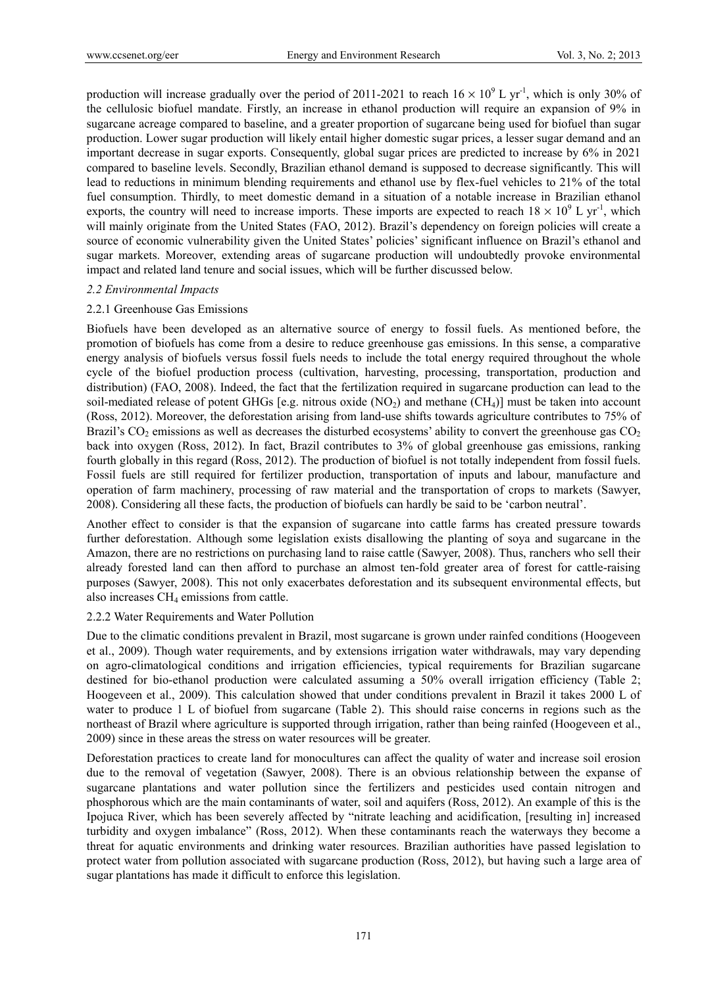production will increase gradually over the period of 2011-2021 to reach  $16 \times 10^9$  L yr<sup>-1</sup>, which is only 30% of the cellulosic biofuel mandate. Firstly, an increase in ethanol production will require an expansion of 9% in sugarcane acreage compared to baseline, and a greater proportion of sugarcane being used for biofuel than sugar production. Lower sugar production will likely entail higher domestic sugar prices, a lesser sugar demand and an important decrease in sugar exports. Consequently, global sugar prices are predicted to increase by 6% in 2021 compared to baseline levels. Secondly, Brazilian ethanol demand is supposed to decrease significantly. This will lead to reductions in minimum blending requirements and ethanol use by flex-fuel vehicles to 21% of the total fuel consumption. Thirdly, to meet domestic demand in a situation of a notable increase in Brazilian ethanol exports, the country will need to increase imports. These imports are expected to reach  $18 \times 10^9$  L yr<sup>-1</sup>, which will mainly originate from the United States (FAO, 2012). Brazil's dependency on foreign policies will create a source of economic vulnerability given the United States' policies' significant influence on Brazil's ethanol and sugar markets. Moreover, extending areas of sugarcane production will undoubtedly provoke environmental impact and related land tenure and social issues, which will be further discussed below.

## *2.2 Environmental Impacts*

## 2.2.1 Greenhouse Gas Emissions

Biofuels have been developed as an alternative source of energy to fossil fuels. As mentioned before, the promotion of biofuels has come from a desire to reduce greenhouse gas emissions. In this sense, a comparative energy analysis of biofuels versus fossil fuels needs to include the total energy required throughout the whole cycle of the biofuel production process (cultivation, harvesting, processing, transportation, production and distribution) (FAO, 2008). Indeed, the fact that the fertilization required in sugarcane production can lead to the soil-mediated release of potent GHGs [e.g. nitrous oxide  $(NO<sub>2</sub>)$  and methane  $(CH<sub>4</sub>)$ ] must be taken into account (Ross, 2012). Moreover, the deforestation arising from land-use shifts towards agriculture contributes to 75% of Brazil's  $CO<sub>2</sub>$  emissions as well as decreases the disturbed ecosystems' ability to convert the greenhouse gas  $CO<sub>2</sub>$ back into oxygen (Ross, 2012). In fact, Brazil contributes to 3% of global greenhouse gas emissions, ranking fourth globally in this regard (Ross, 2012). The production of biofuel is not totally independent from fossil fuels. Fossil fuels are still required for fertilizer production, transportation of inputs and labour, manufacture and operation of farm machinery, processing of raw material and the transportation of crops to markets (Sawyer, 2008). Considering all these facts, the production of biofuels can hardly be said to be 'carbon neutral'.

Another effect to consider is that the expansion of sugarcane into cattle farms has created pressure towards further deforestation. Although some legislation exists disallowing the planting of soya and sugarcane in the Amazon, there are no restrictions on purchasing land to raise cattle (Sawyer, 2008). Thus, ranchers who sell their already forested land can then afford to purchase an almost ten-fold greater area of forest for cattle-raising purposes (Sawyer, 2008). This not only exacerbates deforestation and its subsequent environmental effects, but also increases CH4 emissions from cattle.

## 2.2.2 Water Requirements and Water Pollution

Due to the climatic conditions prevalent in Brazil, most sugarcane is grown under rainfed conditions (Hoogeveen et al., 2009). Though water requirements, and by extensions irrigation water withdrawals, may vary depending on agro-climatological conditions and irrigation efficiencies, typical requirements for Brazilian sugarcane destined for bio-ethanol production were calculated assuming a 50% overall irrigation efficiency (Table 2; Hoogeveen et al., 2009). This calculation showed that under conditions prevalent in Brazil it takes 2000 L of water to produce 1 L of biofuel from sugarcane (Table 2). This should raise concerns in regions such as the northeast of Brazil where agriculture is supported through irrigation, rather than being rainfed (Hoogeveen et al., 2009) since in these areas the stress on water resources will be greater.

Deforestation practices to create land for monocultures can affect the quality of water and increase soil erosion due to the removal of vegetation (Sawyer, 2008). There is an obvious relationship between the expanse of sugarcane plantations and water pollution since the fertilizers and pesticides used contain nitrogen and phosphorous which are the main contaminants of water, soil and aquifers (Ross, 2012). An example of this is the Ipojuca River, which has been severely affected by "nitrate leaching and acidification, [resulting in] increased turbidity and oxygen imbalance" (Ross, 2012). When these contaminants reach the waterways they become a threat for aquatic environments and drinking water resources. Brazilian authorities have passed legislation to protect water from pollution associated with sugarcane production (Ross, 2012), but having such a large area of sugar plantations has made it difficult to enforce this legislation.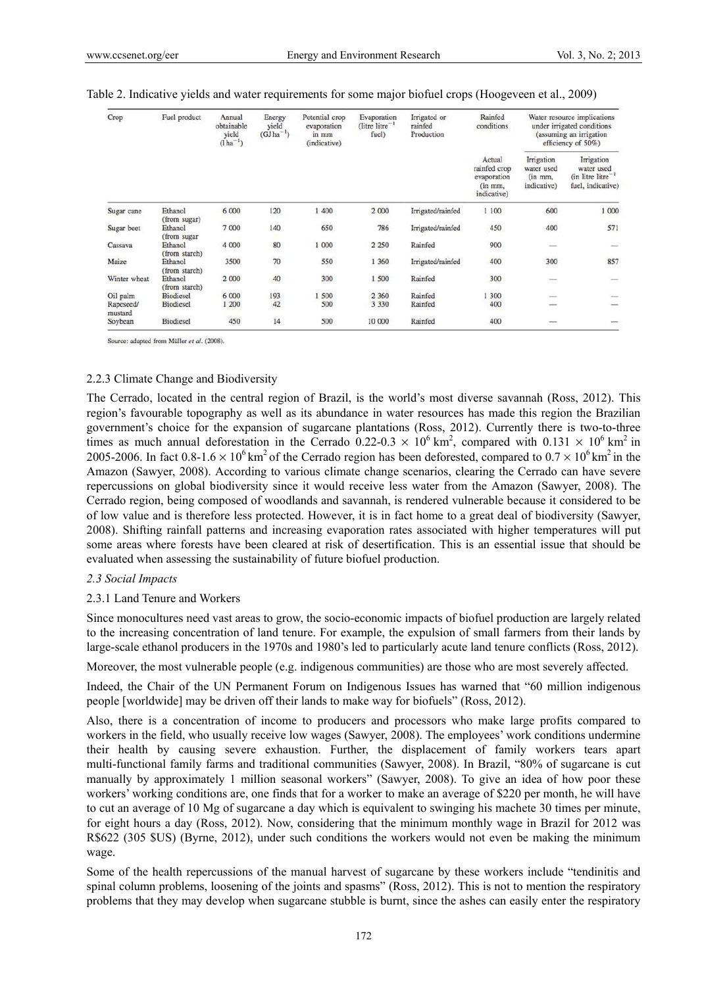| Crop                 | Fuel product             | Annual<br>obtainable<br>vield<br>$(lha^{-1})$ | Energy<br>vield<br>$(GJ ha^{-1})$ | Potential crop<br>evaporation<br>in mm<br>(indicative) | Evaporation<br>$(litre$ litre <sup><math>-1</math></sup><br>fuel) | Irrigated or<br>rainfed<br>Production | Rainfed<br>conditions<br>Actual<br>rainfed crop<br>evaporation<br>(in mm,<br>indicative) | Water resource implications<br>under irrigated conditions<br>(assuming an irrigation<br>efficiency of 50%) |                                                                                  |
|----------------------|--------------------------|-----------------------------------------------|-----------------------------------|--------------------------------------------------------|-------------------------------------------------------------------|---------------------------------------|------------------------------------------------------------------------------------------|------------------------------------------------------------------------------------------------------------|----------------------------------------------------------------------------------|
|                      |                          |                                               |                                   |                                                        |                                                                   |                                       |                                                                                          | Irrigation<br>water used<br>(in mm,<br>indicative)                                                         | Irrigation<br>water used<br>$(in$ litre litre <sup>-1</sup><br>fuel, indicative) |
| Sugar cane           | Ethanol<br>(from sugar)  | 6 0 0 0                                       | 120                               | 1 400                                                  | 2 000                                                             | Irrigated/rainfed                     | 1 100                                                                                    | 600                                                                                                        | 1 000                                                                            |
| Sugar beet           | Ethanol<br>(from sugar   | 7 000                                         | 140                               | 650                                                    | 786                                                               | Irrigated/rainfed                     | 450                                                                                      | 400                                                                                                        | 571                                                                              |
| Cassava              | Ethanol<br>(from starch) | 4 0 0 0                                       | 80                                | 1 000                                                  | 2 2 5 0                                                           | Rainfed                               | 900                                                                                      | $\cdots$                                                                                                   |                                                                                  |
| Maize                | Ethanol<br>(from starch) | 3500                                          | 70                                | 550                                                    | 1 360                                                             | Irrigated/rainfed                     | 400                                                                                      | 300                                                                                                        | 857                                                                              |
| Winter wheat         | Ethanol<br>(from starch) | 2 0 0 0                                       | 40                                | 300                                                    | 1 500                                                             | Rainfed                               | 300                                                                                      | $\frac{1}{2} \left( \frac{1}{2} \right) \left( \frac{1}{2} \right) \left( \frac{1}{2} \right)$             | $\hspace{1.5cm} \overbrace{ }^{}$                                                |
| Oil palm             | <b>Biodiesel</b>         | 6 000                                         | 193                               | 500                                                    | 2 3 6 0                                                           | Rainfed                               | 1 300                                                                                    |                                                                                                            |                                                                                  |
| Rapeseed/<br>mustard | <b>Biodiesel</b>         | 1 200                                         | 42                                | 500                                                    | 3 3 3 0                                                           | Rainfed                               | 400                                                                                      |                                                                                                            |                                                                                  |
| Soybean              | <b>Biodiesel</b>         | 450                                           | 14                                | 500                                                    | 10 000                                                            | Rainfed                               | 400                                                                                      |                                                                                                            |                                                                                  |

#### Table 2. Indicative yields and water requirements for some major biofuel crops (Hoogeveen et al., 2009)

Source: adapted from Müller et al. (2008).

## 2.2.3 Climate Change and Biodiversity

The Cerrado, located in the central region of Brazil, is the world's most diverse savannah (Ross, 2012). This region's favourable topography as well as its abundance in water resources has made this region the Brazilian government's choice for the expansion of sugarcane plantations (Ross, 2012). Currently there is two-to-three times as much annual deforestation in the Cerrado  $0.22{\text -}0.3 \times 10^6 \text{ km}^2$ , compared with  $0.131 \times 10^6 \text{ km}^2$  in 2005-2006. In fact  $0.8-1.6 \times 10^6$  km<sup>2</sup> of the Cerrado region has been deforested, compared to  $0.7 \times 10^6$  km<sup>2</sup> in the Amazon (Sawyer, 2008). According to various climate change scenarios, clearing the Cerrado can have severe repercussions on global biodiversity since it would receive less water from the Amazon (Sawyer, 2008). The Cerrado region, being composed of woodlands and savannah, is rendered vulnerable because it considered to be of low value and is therefore less protected. However, it is in fact home to a great deal of biodiversity (Sawyer, 2008). Shifting rainfall patterns and increasing evaporation rates associated with higher temperatures will put some areas where forests have been cleared at risk of desertification. This is an essential issue that should be evaluated when assessing the sustainability of future biofuel production.

#### *2.3 Social Impacts*

#### 2.3.1 Land Tenure and Workers

Since monocultures need vast areas to grow, the socio-economic impacts of biofuel production are largely related to the increasing concentration of land tenure. For example, the expulsion of small farmers from their lands by large-scale ethanol producers in the 1970s and 1980's led to particularly acute land tenure conflicts (Ross, 2012).

Moreover, the most vulnerable people (e.g. indigenous communities) are those who are most severely affected.

Indeed, the Chair of the UN Permanent Forum on Indigenous Issues has warned that "60 million indigenous people [worldwide] may be driven off their lands to make way for biofuels" (Ross, 2012).

Also, there is a concentration of income to producers and processors who make large profits compared to workers in the field, who usually receive low wages (Sawyer, 2008). The employees' work conditions undermine their health by causing severe exhaustion. Further, the displacement of family workers tears apart multi-functional family farms and traditional communities (Sawyer, 2008). In Brazil, "80% of sugarcane is cut manually by approximately 1 million seasonal workers" (Sawyer, 2008). To give an idea of how poor these workers' working conditions are, one finds that for a worker to make an average of \$220 per month, he will have to cut an average of 10 Mg of sugarcane a day which is equivalent to swinging his machete 30 times per minute, for eight hours a day (Ross, 2012). Now, considering that the minimum monthly wage in Brazil for 2012 was R\$622 (305 \$US) (Byrne, 2012), under such conditions the workers would not even be making the minimum wage.

Some of the health repercussions of the manual harvest of sugarcane by these workers include "tendinitis and spinal column problems, loosening of the joints and spasms" (Ross, 2012). This is not to mention the respiratory problems that they may develop when sugarcane stubble is burnt, since the ashes can easily enter the respiratory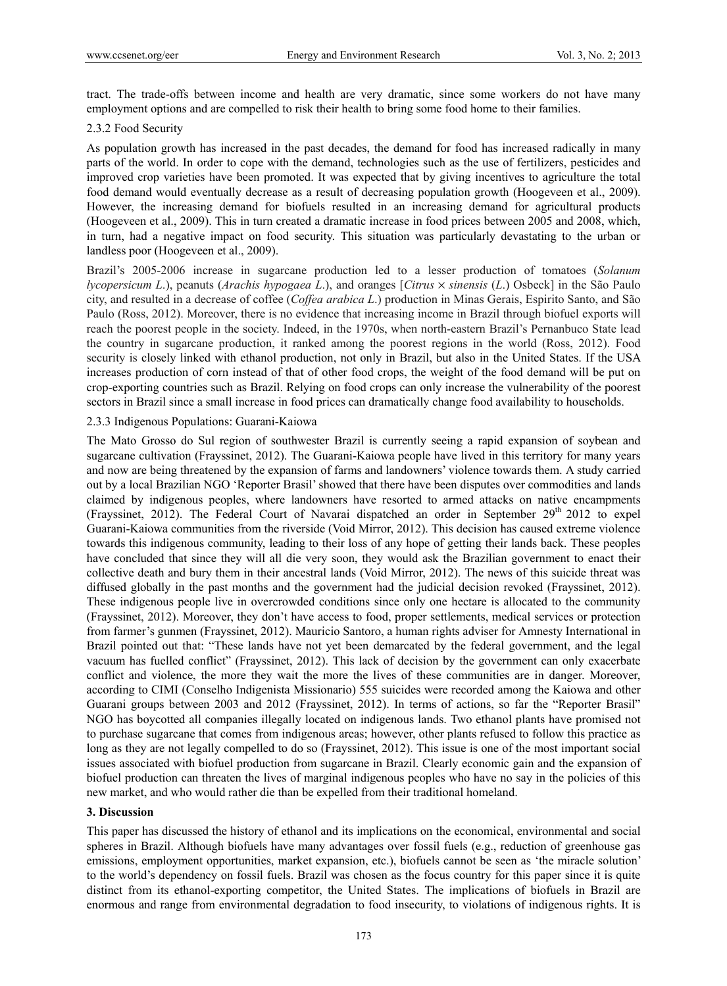tract. The trade-offs between income and health are very dramatic, since some workers do not have many employment options and are compelled to risk their health to bring some food home to their families.

#### 2.3.2 Food Security

As population growth has increased in the past decades, the demand for food has increased radically in many parts of the world. In order to cope with the demand, technologies such as the use of fertilizers, pesticides and improved crop varieties have been promoted. It was expected that by giving incentives to agriculture the total food demand would eventually decrease as a result of decreasing population growth (Hoogeveen et al., 2009). However, the increasing demand for biofuels resulted in an increasing demand for agricultural products (Hoogeveen et al., 2009). This in turn created a dramatic increase in food prices between 2005 and 2008, which, in turn, had a negative impact on food security. This situation was particularly devastating to the urban or landless poor (Hoogeveen et al., 2009).

Brazil's 2005-2006 increase in sugarcane production led to a lesser production of tomatoes (*Solanum lycopersicum L*.), peanuts (*Arachis hypogaea L*.), and oranges [*Citrus sinensis* (*L*.) Osbeck] in the São Paulo city, and resulted in a decrease of coffee (*Coffea arabica L*.) production in Minas Gerais, Espirito Santo, and São Paulo (Ross, 2012). Moreover, there is no evidence that increasing income in Brazil through biofuel exports will reach the poorest people in the society. Indeed, in the 1970s, when north-eastern Brazil's Pernanbuco State lead the country in sugarcane production, it ranked among the poorest regions in the world (Ross, 2012). Food security is closely linked with ethanol production, not only in Brazil, but also in the United States. If the USA increases production of corn instead of that of other food crops, the weight of the food demand will be put on crop-exporting countries such as Brazil. Relying on food crops can only increase the vulnerability of the poorest sectors in Brazil since a small increase in food prices can dramatically change food availability to households.

#### 2.3.3 Indigenous Populations: Guarani-Kaiowa

The Mato Grosso do Sul region of southwester Brazil is currently seeing a rapid expansion of soybean and sugarcane cultivation (Frayssinet, 2012). The Guarani-Kaiowa people have lived in this territory for many years and now are being threatened by the expansion of farms and landowners' violence towards them. A study carried out by a local Brazilian NGO 'Reporter Brasil' showed that there have been disputes over commodities and lands claimed by indigenous peoples, where landowners have resorted to armed attacks on native encampments (Frayssinet, 2012). The Federal Court of Navarai dispatched an order in September 29<sup>th</sup> 2012 to expel Guarani-Kaiowa communities from the riverside (Void Mirror, 2012). This decision has caused extreme violence towards this indigenous community, leading to their loss of any hope of getting their lands back. These peoples have concluded that since they will all die very soon, they would ask the Brazilian government to enact their collective death and bury them in their ancestral lands (Void Mirror, 2012). The news of this suicide threat was diffused globally in the past months and the government had the judicial decision revoked (Frayssinet, 2012). These indigenous people live in overcrowded conditions since only one hectare is allocated to the community (Frayssinet, 2012). Moreover, they don't have access to food, proper settlements, medical services or protection from farmer's gunmen (Frayssinet, 2012). Mauricio Santoro, a human rights adviser for Amnesty International in Brazil pointed out that: "These lands have not yet been demarcated by the federal government, and the legal vacuum has fuelled conflict" (Frayssinet, 2012). This lack of decision by the government can only exacerbate conflict and violence, the more they wait the more the lives of these communities are in danger. Moreover, according to CIMI (Conselho Indigenista Missionario) 555 suicides were recorded among the Kaiowa and other Guarani groups between 2003 and 2012 (Frayssinet, 2012). In terms of actions, so far the "Reporter Brasil" NGO has boycotted all companies illegally located on indigenous lands. Two ethanol plants have promised not to purchase sugarcane that comes from indigenous areas; however, other plants refused to follow this practice as long as they are not legally compelled to do so (Frayssinet, 2012). This issue is one of the most important social issues associated with biofuel production from sugarcane in Brazil. Clearly economic gain and the expansion of biofuel production can threaten the lives of marginal indigenous peoples who have no say in the policies of this new market, and who would rather die than be expelled from their traditional homeland.

## **3. Discussion**

This paper has discussed the history of ethanol and its implications on the economical, environmental and social spheres in Brazil. Although biofuels have many advantages over fossil fuels (e.g., reduction of greenhouse gas emissions, employment opportunities, market expansion, etc.), biofuels cannot be seen as 'the miracle solution' to the world's dependency on fossil fuels. Brazil was chosen as the focus country for this paper since it is quite distinct from its ethanol-exporting competitor, the United States. The implications of biofuels in Brazil are enormous and range from environmental degradation to food insecurity, to violations of indigenous rights. It is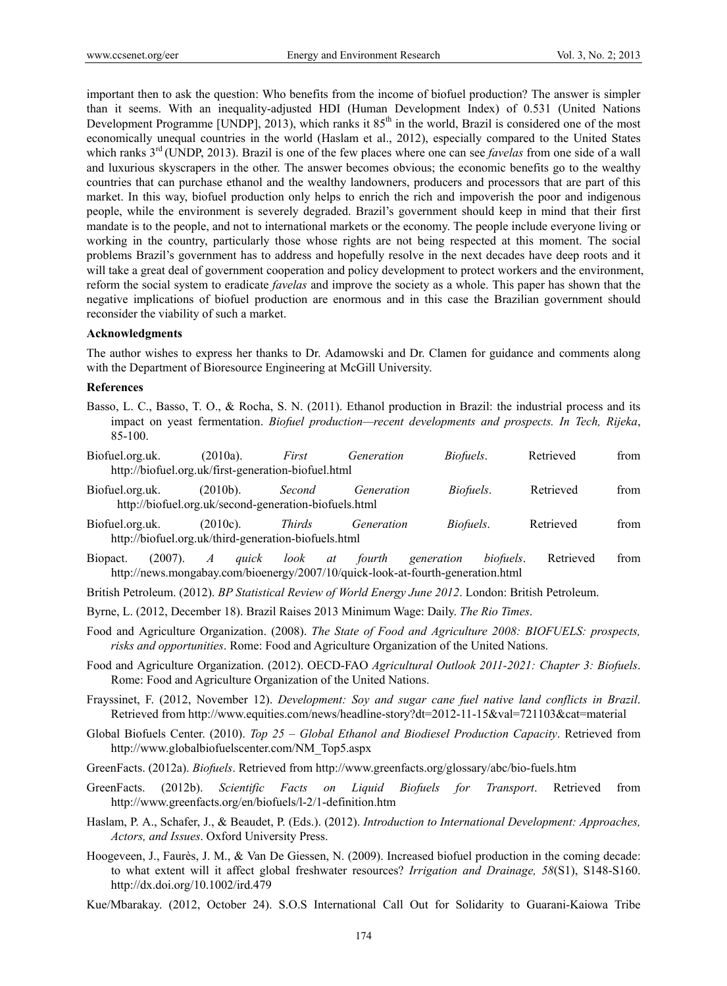important then to ask the question: Who benefits from the income of biofuel production? The answer is simpler than it seems. With an inequality-adjusted HDI (Human Development Index) of 0.531 (United Nations Development Programme [UNDP], 2013), which ranks it  $85<sup>th</sup>$  in the world, Brazil is considered one of the most economically unequal countries in the world (Haslam et al., 2012), especially compared to the United States which ranks 3<sup>rd</sup> (UNDP, 2013). Brazil is one of the few places where one can see *favelas* from one side of a wall and luxurious skyscrapers in the other. The answer becomes obvious; the economic benefits go to the wealthy countries that can purchase ethanol and the wealthy landowners, producers and processors that are part of this market. In this way, biofuel production only helps to enrich the rich and impoverish the poor and indigenous people, while the environment is severely degraded. Brazil's government should keep in mind that their first mandate is to the people, and not to international markets or the economy. The people include everyone living or working in the country, particularly those whose rights are not being respected at this moment. The social problems Brazil's government has to address and hopefully resolve in the next decades have deep roots and it will take a great deal of government cooperation and policy development to protect workers and the environment, reform the social system to eradicate *favelas* and improve the society as a whole. This paper has shown that the negative implications of biofuel production are enormous and in this case the Brazilian government should reconsider the viability of such a market.

#### **Acknowledgments**

The author wishes to express her thanks to Dr. Adamowski and Dr. Clamen for guidance and comments along with the Department of Bioresource Engineering at McGill University.

#### **References**

- Basso, L. C., Basso, T. O., & Rocha, S. N. (2011). Ethanol production in Brazil: the industrial process and its impact on yeast fermentation. *Biofuel production—recent developments and prospects. In Tech, Rijeka*, 85-100.
- Biofuel.org.uk. (2010a). *First Generation Biofuels*. Retrieved from http://biofuel.org.uk/first-generation-biofuel.html
- Biofuel.org.uk. (2010b). *Second Generation Biofuels*. Retrieved from http://biofuel.org.uk/second-generation-biofuels.html
- Biofuel.org.uk. (2010c). *Thirds Generation Biofuels*. Retrieved from http://biofuel.org.uk/third-generation-biofuels.html
- Biopact. (2007). *A quick look at fourth generation biofuels*. Retrieved from http://news.mongabay.com/bioenergy/2007/10/quick-look-at-fourth-generation.html
- British Petroleum. (2012). *BP Statistical Review of World Energy June 2012*. London: British Petroleum.
- Byrne, L. (2012, December 18). Brazil Raises 2013 Minimum Wage: Daily. *The Rio Times*.
- Food and Agriculture Organization. (2008). *The State of Food and Agriculture 2008: BIOFUELS: prospects, risks and opportunities*. Rome: Food and Agriculture Organization of the United Nations.
- Food and Agriculture Organization. (2012). OECD-FAO *Agricultural Outlook 2011-2021: Chapter 3: Biofuels*. Rome: Food and Agriculture Organization of the United Nations.
- Frayssinet, F. (2012, November 12). *Development: Soy and sugar cane fuel native land conflicts in Brazil*. Retrieved from http://www.equities.com/news/headline-story?dt=2012-11-15&val=721103&cat=material
- Global Biofuels Center. (2010). *Top 25 Global Ethanol and Biodiesel Production Capacity*. Retrieved from http://www.globalbiofuelscenter.com/NM\_Top5.aspx
- GreenFacts. (2012a). *Biofuels*. Retrieved from http://www.greenfacts.org/glossary/abc/bio-fuels.htm
- GreenFacts. (2012b). *Scientific Facts on Liquid Biofuels for Transport*. Retrieved from http://www.greenfacts.org/en/biofuels/l-2/1-definition.htm
- Haslam, P. A., Schafer, J., & Beaudet, P. (Eds.). (2012). *Introduction to International Development: Approaches, Actors, and Issues*. Oxford University Press.
- Hoogeveen, J., Faurès, J. M., & Van De Giessen, N. (2009). Increased biofuel production in the coming decade: to what extent will it affect global freshwater resources? *Irrigation and Drainage, 58*(S1), S148-S160. http://dx.doi.org/10.1002/ird.479
- Kue/Mbarakay. (2012, October 24). S.O.S International Call Out for Solidarity to Guarani-Kaiowa Tribe